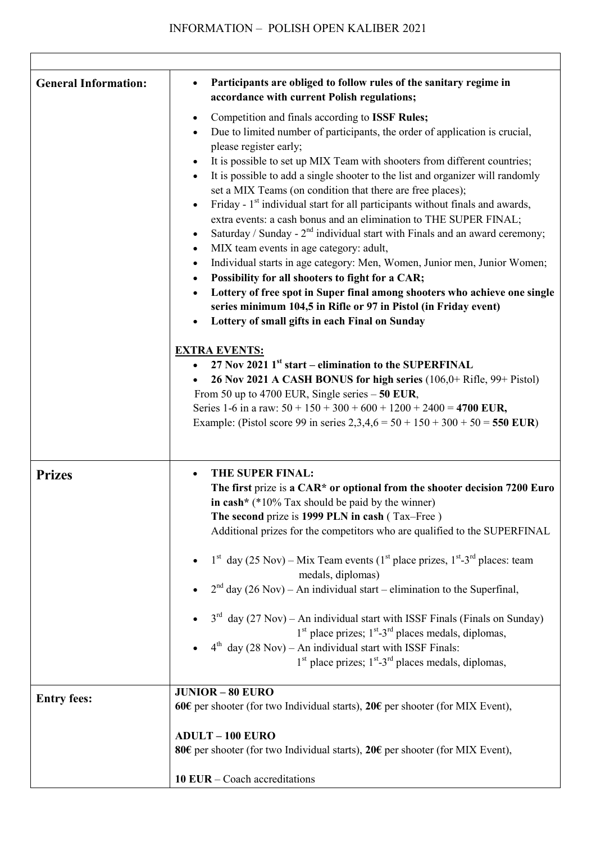| <b>General Information:</b> | Participants are obliged to follow rules of the sanitary regime in<br>$\bullet$<br>accordance with current Polish regulations;                                                                                                                                                                                                                                                                                                                                                                                                                                                                                                                                                                                                                                                                                                                                                                                                                                                                                                                                                                                                                                                                                                                                                                                                                                                                                                                                                              |
|-----------------------------|---------------------------------------------------------------------------------------------------------------------------------------------------------------------------------------------------------------------------------------------------------------------------------------------------------------------------------------------------------------------------------------------------------------------------------------------------------------------------------------------------------------------------------------------------------------------------------------------------------------------------------------------------------------------------------------------------------------------------------------------------------------------------------------------------------------------------------------------------------------------------------------------------------------------------------------------------------------------------------------------------------------------------------------------------------------------------------------------------------------------------------------------------------------------------------------------------------------------------------------------------------------------------------------------------------------------------------------------------------------------------------------------------------------------------------------------------------------------------------------------|
|                             | Competition and finals according to ISSF Rules;<br>$\bullet$<br>Due to limited number of participants, the order of application is crucial,<br>٠<br>please register early;<br>It is possible to set up MIX Team with shooters from different countries;<br>It is possible to add a single shooter to the list and organizer will randomly<br>$\bullet$<br>set a MIX Teams (on condition that there are free places);<br>Friday - 1 <sup>st</sup> individual start for all participants without finals and awards,<br>$\bullet$<br>extra events: a cash bonus and an elimination to THE SUPER FINAL;<br>Saturday / Sunday - $2nd$ individual start with Finals and an award ceremony;<br>٠<br>MIX team events in age category: adult,<br>٠<br>Individual starts in age category: Men, Women, Junior men, Junior Women;<br>٠<br>Possibility for all shooters to fight for a CAR;<br>٠<br>Lottery of free spot in Super final among shooters who achieve one single<br>$\bullet$<br>series minimum 104,5 in Rifle or 97 in Pistol (in Friday event)<br>Lottery of small gifts in each Final on Sunday<br>$\bullet$<br><b>EXTRA EVENTS:</b><br>27 Nov 2021 $1^{st}$ start – elimination to the SUPERFINAL<br>26 Nov 2021 A CASH BONUS for high series (106,0+ Rifle, 99+ Pistol)<br>From 50 up to 4700 EUR, Single series $-50$ EUR,<br>Series 1-6 in a raw: $50 + 150 + 300 + 600 + 1200 + 2400 = 4700$ EUR,<br>Example: (Pistol score 99 in series $2,3,4,6 = 50 + 150 + 300 + 50 = 550$ EUR) |
| <b>Prizes</b>               | THE SUPER FINAL:<br>The first prize is a CAR* or optional from the shooter decision 7200 Euro<br>in cash* $(*10\%$ Tax should be paid by the winner)<br>The second prize is 1999 PLN in cash (Tax-Free)<br>Additional prizes for the competitors who are qualified to the SUPERFINAL<br>$1st$ day (25 Nov) – Mix Team events (1 <sup>st</sup> place prizes, 1 <sup>st</sup> -3 <sup>rd</sup> places: team<br>medals, diplomas)<br>$2nd$ day (26 Nov) – An individual start – elimination to the Superfinal,<br>$3^{rd}$ day (27 Nov) – An individual start with ISSF Finals (Finals on Sunday)<br>$1st$ place prizes; $1st$ -3 <sup>rd</sup> places medals, diplomas,<br>$4th$ day (28 Nov) – An individual start with ISSF Finals:<br>$1st$ place prizes; $1st$ -3 <sup>rd</sup> places medals, diplomas,                                                                                                                                                                                                                                                                                                                                                                                                                                                                                                                                                                                                                                                                                  |
| <b>Entry fees:</b>          | <b>JUNIOR - 80 EURO</b><br>60€ per shooter (for two Individual starts), 20€ per shooter (for MIX Event),                                                                                                                                                                                                                                                                                                                                                                                                                                                                                                                                                                                                                                                                                                                                                                                                                                                                                                                                                                                                                                                                                                                                                                                                                                                                                                                                                                                    |
|                             | <b>ADULT - 100 EURO</b><br>80€ per shooter (for two Individual starts), 20€ per shooter (for MIX Event),                                                                                                                                                                                                                                                                                                                                                                                                                                                                                                                                                                                                                                                                                                                                                                                                                                                                                                                                                                                                                                                                                                                                                                                                                                                                                                                                                                                    |
|                             | 10 EUR $-$ Coach accreditations                                                                                                                                                                                                                                                                                                                                                                                                                                                                                                                                                                                                                                                                                                                                                                                                                                                                                                                                                                                                                                                                                                                                                                                                                                                                                                                                                                                                                                                             |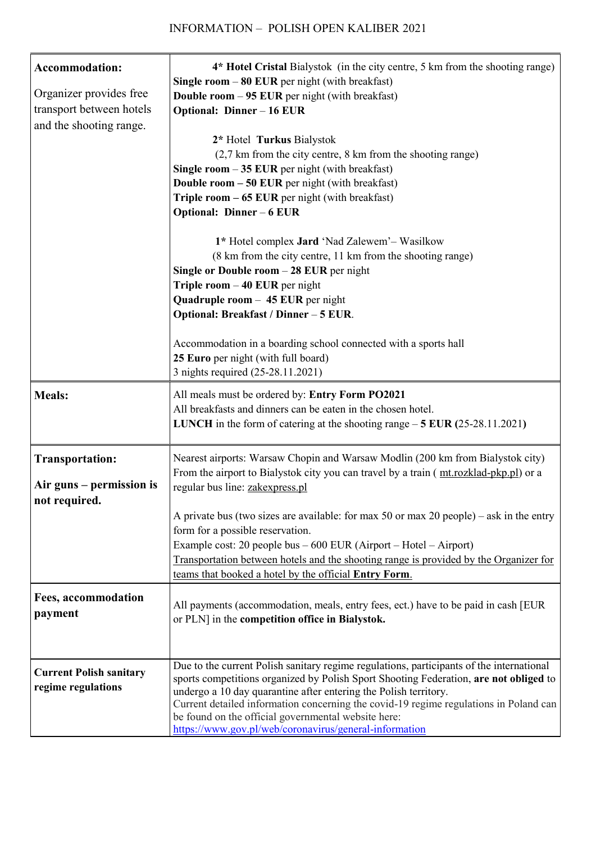| <b>Accommodation:</b><br>Organizer provides free<br>transport between hotels<br>and the shooting range. | 4* Hotel Cristal Bialystok (in the city centre, 5 km from the shooting range)<br>Single room $-80$ EUR per night (with breakfast)<br><b>Double room <math>-95</math> EUR</b> per night (with breakfast)<br><b>Optional: Dinner - 16 EUR</b><br>2* Hotel Turkus Bialystok<br>(2,7 km from the city centre, 8 km from the shooting range)<br>Single room $-35$ EUR per night (with breakfast)<br><b>Double room - 50 EUR</b> per night (with breakfast)<br>Triple room $-65$ EUR per night (with breakfast)                                                             |
|---------------------------------------------------------------------------------------------------------|-----------------------------------------------------------------------------------------------------------------------------------------------------------------------------------------------------------------------------------------------------------------------------------------------------------------------------------------------------------------------------------------------------------------------------------------------------------------------------------------------------------------------------------------------------------------------|
|                                                                                                         | <b>Optional: Dinner - 6 EUR</b><br>1* Hotel complex Jard 'Nad Zalewem'- Wasilkow<br>(8 km from the city centre, 11 km from the shooting range)<br>Single or Double room $-28$ EUR per night<br>Triple room $-40$ EUR per night<br>Quadruple room - 45 EUR per night<br>Optional: Breakfast / Dinner - 5 EUR.                                                                                                                                                                                                                                                          |
|                                                                                                         | Accommodation in a boarding school connected with a sports hall<br>25 Euro per night (with full board)<br>3 nights required (25-28.11.2021)                                                                                                                                                                                                                                                                                                                                                                                                                           |
| <b>Meals:</b>                                                                                           | All meals must be ordered by: Entry Form PO2021<br>All breakfasts and dinners can be eaten in the chosen hotel.<br><b>LUNCH</b> in the form of catering at the shooting range $-5$ <b>EUR</b> (25-28.11.2021)                                                                                                                                                                                                                                                                                                                                                         |
| <b>Transportation:</b><br>Air guns – permission is<br>not required.                                     | Nearest airports: Warsaw Chopin and Warsaw Modlin (200 km from Bialystok city)<br>From the airport to Bialystok city you can travel by a train (mt.rozklad-pkp.pl) or a<br>regular bus line: zakexpress.pl<br>A private bus (two sizes are available: for max 50 or max 20 people) – ask in the entry<br>form for a possible reservation.<br>Example cost: 20 people bus $-600$ EUR (Airport $-$ Hotel $-$ Airport)<br>Transportation between hotels and the shooting range is provided by the Organizer for<br>teams that booked a hotel by the official Entry Form. |
| Fees, accommodation<br>payment                                                                          | All payments (accommodation, meals, entry fees, ect.) have to be paid in cash [EUR<br>or PLN] in the competition office in Bialystok.                                                                                                                                                                                                                                                                                                                                                                                                                                 |
| <b>Current Polish sanitary</b><br>regime regulations                                                    | Due to the current Polish sanitary regime regulations, participants of the international<br>sports competitions organized by Polish Sport Shooting Federation, are not obliged to<br>undergo a 10 day quarantine after entering the Polish territory.<br>Current detailed information concerning the covid-19 regime regulations in Poland can<br>be found on the official governmental website here:<br>https://www.gov.pl/web/coronavirus/general-information                                                                                                       |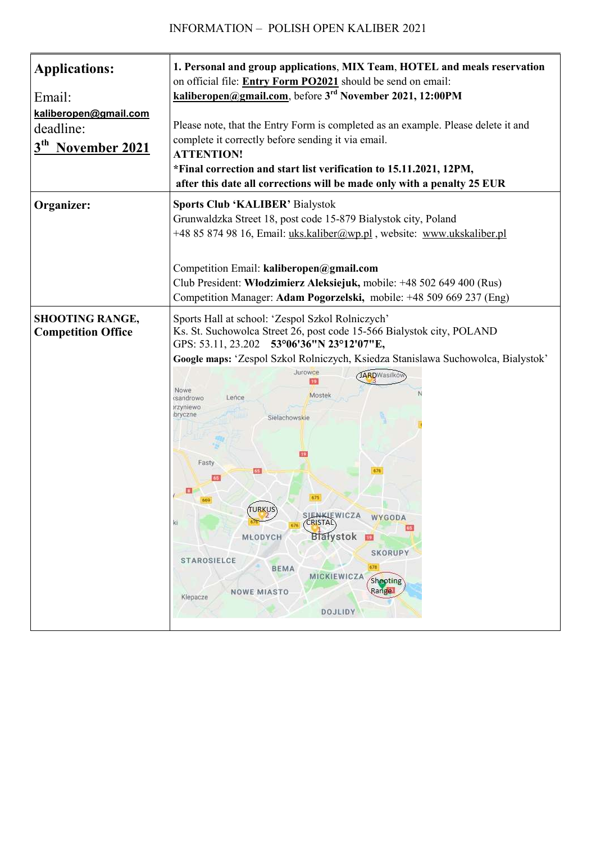| <b>Applications:</b><br>Email:<br>kaliberopen@gmail.com<br>deadline:<br>3 <sup>th</sup> November 2021 | 1. Personal and group applications, MIX Team, HOTEL and meals reservation<br>on official file: Entry Form PO2021 should be send on email:<br>kaliberopen@gmail.com, before 3 <sup>rd</sup> November 2021, 12:00PM<br>Please note, that the Entry Form is completed as an example. Please delete it and<br>complete it correctly before sending it via email.<br><b>ATTENTION!</b><br>*Final correction and start list verification to 15.11.2021, 12PM,<br>after this date all corrections will be made only with a penalty 25 EUR                                                                                                          |
|-------------------------------------------------------------------------------------------------------|---------------------------------------------------------------------------------------------------------------------------------------------------------------------------------------------------------------------------------------------------------------------------------------------------------------------------------------------------------------------------------------------------------------------------------------------------------------------------------------------------------------------------------------------------------------------------------------------------------------------------------------------|
| Organizer:                                                                                            | <b>Sports Club 'KALIBER' Bialystok</b><br>Grunwaldzka Street 18, post code 15-879 Bialystok city, Poland<br>+48 85 874 98 16, Email: uks.kaliber@wp.pl, website: www.ukskaliber.pl<br>Competition Email: kaliberopen@gmail.com<br>Club President: Włodzimierz Aleksiejuk, mobile: +48 502 649 400 (Rus)<br>Competition Manager: Adam Pogorzelski, mobile: +48 509 669 237 (Eng)                                                                                                                                                                                                                                                             |
| <b>SHOOTING RANGE,</b><br><b>Competition Office</b>                                                   | Sports Hall at school: 'Zespol Szkol Rolniczych'<br>Ks. St. Suchowolca Street 26, post code 15-566 Bialystok city, POLAND<br>GPS: 53.11, 23.202 53°06'36"N 23°12'07"E,<br>Google maps: 'Zespol Szkol Rolniczych, Ksiedza Stanislawa Suchowolca, Bialystok'<br>Jurowce<br><b>JARD</b> Wasilków<br>Nowe<br>Mostek<br>Lence<br>csandrowo<br>orzyniewo<br>bryczne<br>Sielachowskie<br>Fasty<br>65<br>(TURKUS)<br>SIENKIEWICZA WYGODA<br><b>CRISTAL</b><br>κi<br>65<br>Blałystok<br>MLODYCH<br>39<br><b>SKORUPY</b><br><b>STAROSIELCE</b><br>678<br>BEMA<br>MICKIEWICZA<br>Shooting<br>Range<br><b>NOWE MIASTO</b><br>Klepacze<br><b>DOJLIDY</b> |